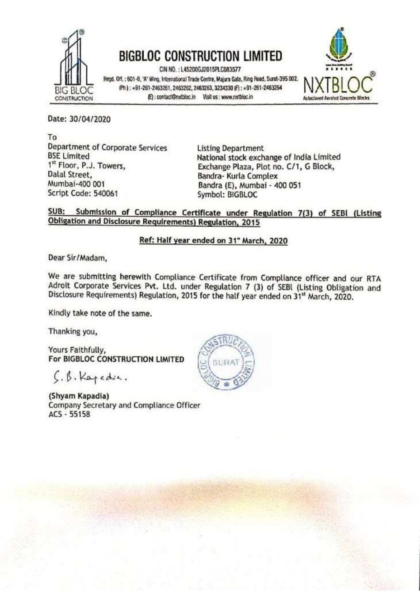

## BIGBLOC CONSTRUCTION LIMITED

CIN NO.: L45200GJ2015PLC083577 BIGBLOC CONSTRUCTION LIMITED<br>
Flegd. Off. ; 601-8, 'A' Wing, International Trade Centre, Majura Gate, Ring Road, Surat-395 002,<br>
BIG BLOC Ph.) : +91-261-2463261, 2463262, 2463263, 3224330 (P) : +91-261-2463264<br>
(B): contac



Date: 30/04/2020

To Department of Corporate Services Listing Department BSE Limited National stock exchange of India Limited Dalal Street, Bandra- Kurla Complex<br>Mumbai-400 001 Bandra (E), Mumbai - 400 051<br>Script Code: 540061 Symbol: BIGBLOC

 $1<sup>it</sup> Floor, P.J. Towers, 1<sup>it</sup> Floor, P.J. Towers, 2<sup>it</sup> Fabar, 2<sup>it</sup> E. 2<sup>it</sup> E. 2<sup>it</sup> E. 2<sup>it</sup> E. 2<sup>it</sup> E. 2<sup>it</sup> E. 2<sup>it</sup> E. 2<sup>it</sup> E. 2<sup>it</sup> E. 2<sup>it</sup> E. 2<sup>it</sup> E. 2<sup>it</sup> E. 2<sup>it</sup> E. 2<sup>it</sup> E. 2<sup>it</sup> E. 2<sup>it</sup> E$ 

## SUB: Submission of Compliance Certificate under Regulation 7(3) of SEBI (Listing Obligation and Disclosure Requirements) Regulation, 2015

## Ref: Half year ended on 31" March, 2020

Dear Sir/Madam,

We are submitting herewith Compliance Cert<br>Adroit Corporate Services Pvt. Ltd. under Rep<br>Disclosure Requirements) Regulation, 2015 for t<br>Kindly take note of the same.<br>Thanking you,<br>Yours Faithfully,<br>For BIGBLOC CONSTRUCTIO We are submitting herewith Compliance Certificate from Compliance officer and our RTA<br>Adroit Corporate Services Pvt. Ltd. under Regulation 7 (3) of SEBI (Listing Obligation and<br>Disclosure Requirements) Regulation, 2015 for herewith Complian<br>ervices Pvt. Ltd. ur<br>nents) Regulation, 20<br>the same.<br>TRUCTION LIMITED

Kindly take note of the same.

Thanking you,

Yours Faithfully,<br>For BIGBLOC CONSTRUCTION LIMITED

 $\zeta$ .  $\beta$ . Kapedia.

(Shyam Kapadia)<br>Company Secretary and Compliance Officer<br>ACS - 55158